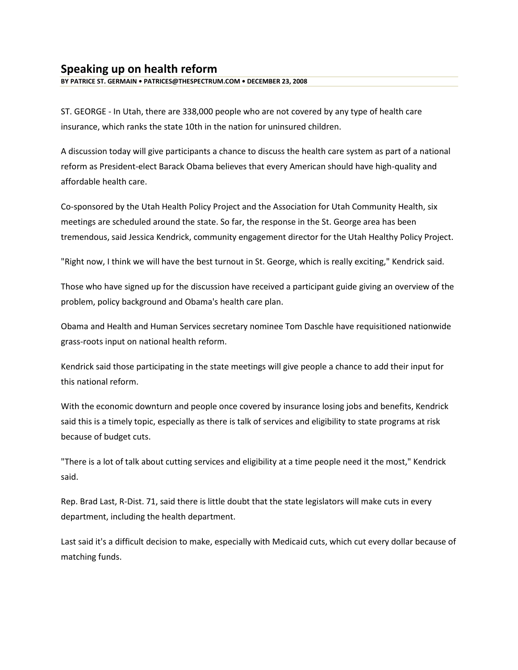## **Speaking up on health reform**

**BY PATRICE ST. GERMAIN • PATRICES@THESPECTRUM.COM • DECEMBER 23, 2008** 

ST. GEORGE - In Utah, there are 338,000 people who are not covered by any type of health care insurance, which ranks the state 10th in the nation for uninsured children.

A discussion today will give participants a chance to discuss the health care system as part of a national reform as President-elect Barack Obama believes that every American should have high-quality and affordable health care.

Co-sponsored by the Utah Health Policy Project and the Association for Utah Community Health, six meetings are scheduled around the state. So far, the response in the St. George area has been tremendous, said Jessica Kendrick, community engagement director for the Utah Healthy Policy Project.

"Right now, I think we will have the best turnout in St. George, which is really exciting," Kendrick said.

Those who have signed up for the discussion have received a participant guide giving an overview of the problem, policy background and Obama's health care plan.

Obama and Health and Human Services secretary nominee Tom Daschle have requisitioned nationwide grass-roots input on national health reform.

Kendrick said those participating in the state meetings will give people a chance to add their input for this national reform.

With the economic downturn and people once covered by insurance losing jobs and benefits, Kendrick said this is a timely topic, especially as there is talk of services and eligibility to state programs at risk because of budget cuts.

"There is a lot of talk about cutting services and eligibility at a time people need it the most," Kendrick said.

Rep. Brad Last, R-Dist. 71, said there is little doubt that the state legislators will make cuts in every department, including the health department.

Last said it's a difficult decision to make, especially with Medicaid cuts, which cut every dollar because of matching funds.